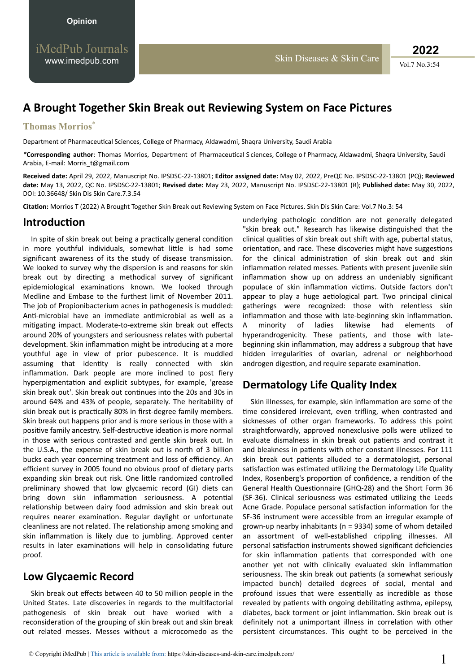Vol.7 No.3:54 **2022**

# **A Brought Together Skin Break out Reviewing System on Face Pictures**

#### **Thomas Morrios**\*

Department of Pharmaceutical Sciences, College of Pharmacy, Aldawadmi, Shaqra University, Saudi Arabia

\*Corresponding author: Thomas Morrios, Department of Pharmaceutical S ciences, College of Pharmacy, Aldawadmi, Shaqra University, Saudi Arabia, E-mail: Morris\_t@gmail.com

**Received date:** April 29, 2022, Manuscript No. IPSDSC-22-13801; **Editor assigned date:** May 02, 2022, PreQC No. IPSDSC-22-13801 (PQ); **Reviewed date:** May 13, 2022, QC No. IPSDSC-22-13801; **Revised date:** May 23, 2022, Manuscript No. IPSDSC-22-13801 (R); **Published date:** May 30, 2022, DOI: 10.36648/ Skin Dis Skin Care.7.3.54

**Citation:** Morrios T (2022) A Brought Together Skin Break out Reviewing System on Face Pictures. Skin Dis Skin Care: Vol.7 No.3: 54

#### **Introduction**

In spite of skin break out being a practically general condition in more youthful individuals, somewhat little is had some significant awareness of its the study of disease transmission. We looked to survey why the dispersion is and reasons for skin break out by directing a methodical survey of significant epidemiological examinations known. We looked through Medline and Embase to the furthest limit of November 2011. The job of Propionibacterium acnes in pathogenesis is muddled: Anti-microbial have an immediate antimicrobial as well as a mitigating impact. Moderate-to-extreme skin break out effects around 20% of youngsters and seriousness relates with pubertal development. Skin inflammation might be introducing at a more youthful age in view of prior pubescence. It is muddled assuming that identity is really connected with skin inflammation. Dark people are more inclined to post fiery hyperpigmentation and explicit subtypes, for example, 'grease skin break out'. Skin break out continues into the 20s and 30s in around 64% and 43% of people, separately. The heritability of skin break out is practically 80% in first-degree family members. Skin break out happens prior and is more serious in those with a positive family ancestry. Self-destructive ideation is more normal in those with serious contrasted and gentle skin break out. In the U.S.A., the expense of skin break out is north of 3 billion bucks each year concerning treatment and loss of efficiency. An efficient survey in 2005 found no obvious proof of dietary parts expanding skin break out risk. One little randomized controlled preliminary showed that low glycaemic record (GI) diets can bring down skin inflammation seriousness. A potential relationship between dairy food admission and skin break out requires nearer examination. Regular daylight or unfortunate cleanliness are not related. The relationship among smoking and skin inflammation is likely due to jumbling. Approved center results in later examinations will help in consolidating future proof.

### **Low Glycaemic Record**

Skin break out effects between 40 to 50 million people in the United States. Late discoveries in regards to the multifactorial pathogenesis of skin break out have worked with a reconsideration of the grouping of skin break out and skin break out related messes. Messes without a microcomedo as the

underlying pathologic condition are not generally delegated "skin break out." Research has likewise distinguished that the clinical qualities of skin break out shift with age, pubertal status, orientation, and race. These discoveries might have suggestions for the clinical administration of skin break out and skin inflammation related messes. Patients with present juvenile skin inflammation show up on address an undeniably significant populace of skin inflammation victims. Outside factors don't appear to play a huge aetiological part. Two principal clinical gatherings were recognized: those with relentless skin inflammation and those with late-beginning skin inflammation. A minority of ladies likewise had elements of hyperandrogenicity. These patients, and those with latebeginning skin inflammation, may address a subgroup that have hidden irregularities of ovarian, adrenal or neighborhood androgen digestion, and require separate examination.

## **Dermatology Life Quality Index**

Skin illnesses, for example, skin inflammation are some of the time considered irrelevant, even trifling, when contrasted and sicknesses of other organ frameworks. To address this point straightforwardly, approved nonexclusive polls were utilized to evaluate dismalness in skin break out patients and contrast it and bleakness in patients with other constant illnesses. For 111 skin break out patients alluded to a dermatologist, personal satisfaction was estimated utilizing the Dermatology Life Quality Index, Rosenberg's proportion of confidence, a rendition of the General Health Questionnaire (GHQ-28) and the Short Form 36 (SF-36). Clinical seriousness was estimated utilizing the Leeds Acne Grade. Populace personal satisfaction information for the SF-36 instrument were accessible from an irregular example of grown-up nearby inhabitants (n = 9334) some of whom detailed an assortment of well-established crippling illnesses. All personal satisfaction instruments showed significant deficiencies for skin inflammation patients that corresponded with one another yet not with clinically evaluated skin inflammation seriousness. The skin break out patients (a somewhat seriously impacted bunch) detailed degrees of social, mental and profound issues that were essentially as incredible as those revealed by patients with ongoing debilitating asthma, epilepsy, diabetes, back torment or joint inflammation. Skin break out is definitely not a unimportant illness in correlation with other persistent circumstances. This ought to be perceived in the